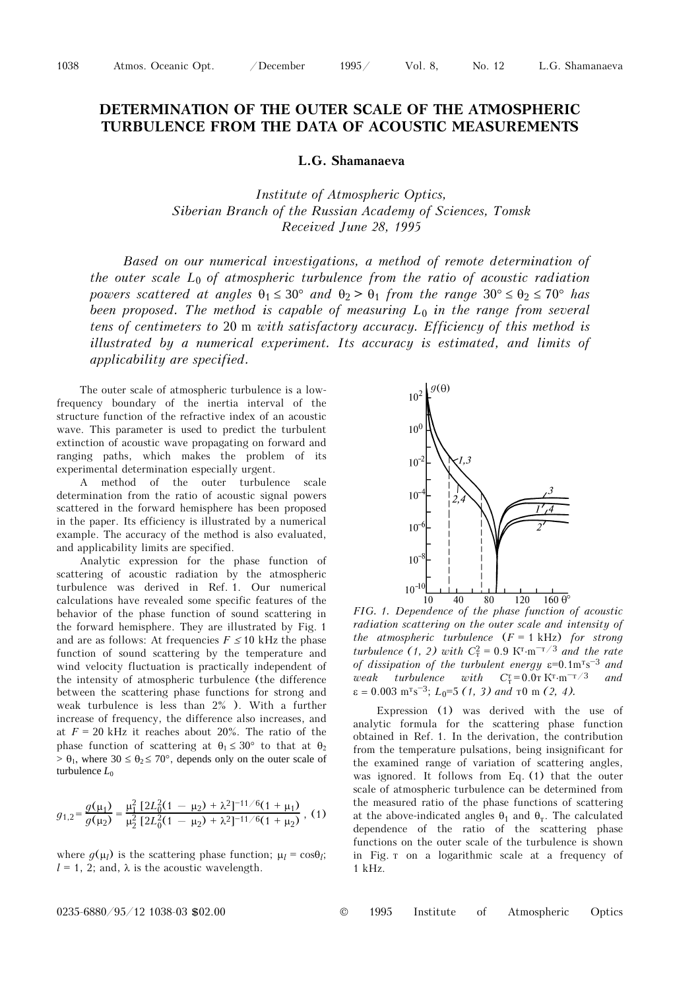1038 Atmos. Oceanic Opt. /December 1995/ Vol. 8, No. 12 L.G. Shamanaeva

## **DETERMINATION OF THE OUTER SCALE OF THE ATMOSPHERIC TURBULENCE FROM THE DATA OF ACOUSTIC MEASUREMENTS**

**L.G. Shamanaeva** 

*Institute of Atmospheric Optics, Siberian Branch of the Russian Academy of Sciences, Tomsk Received June 28, 1995* 

*Based on our numerical investigations, a method of remote determination of the outer scale L*0 *of atmospheric turbulence from the ratio of acoustic radiation powers scattered at angles*  $\theta_1 \leq 30^\circ$  *and*  $\theta_2 > \theta_1$  *from the range*  $30^\circ \leq \theta_2 \leq 70^\circ$  *has been proposed. The method is capable of measuring L*0 *in the range from several tens of centimeters to* 20 m *with satisfactory accuracy. Efficiency of this method is illustrated by a numerical experiment. Its accuracy is estimated, and limits of applicability are specified.* 

The outer scale of atmospheric turbulence is a lowfrequency boundary of the inertia interval of the structure function of the refractive index of an acoustic wave. This parameter is used to predict the turbulent extinction of acoustic wave propagating on forward and ranging paths, which makes the problem of its experimental determination especially urgent.

A method of the outer turbulence scale determination from the ratio of acoustic signal powers scattered in the forward hemisphere has been proposed in the paper. Its efficiency is illustrated by a numerical example. The accuracy of the method is also evaluated, and applicability limits are specified.

Analytic expression for the phase function of scattering of acoustic radiation by the atmospheric turbulence was derived in Ref. 1. Our numerical calculations have revealed some specific features of the behavior of the phase function of sound scattering in the forward hemisphere. They are illustrated by Fig. 1 and are as follows: At frequencies  $F \leq 10$  kHz the phase function of sound scattering by the temperature and wind velocity fluctuation is practically independent of the intensity of atmospheric turbulence (the difference between the scattering phase functions for strong and weak turbulence is less than 2% ). With a further increase of frequency, the difference also increases, and at  $F = 20$  kHz it reaches about 20%. The ratio of the phase function of scattering at  $\theta_1 \leq 30^{\circ}$  to that at  $\theta_2$  $> \theta_1$ , where  $30 \le \theta_2 \le 70^{\circ}$ , depends only on the outer scale of turbulence  $L_0$ 

$$
g_{1,2} = \frac{g(\mu_1)}{g(\mu_2)} = \frac{\mu_1^2 \left[2L_0^2(1 - \mu_2) + \lambda^2\right]^{-11/6}(1 + \mu_1)}{\mu_2^2 \left[2L_0^2(1 - \mu_2) + \lambda^2\right]^{-11/6}(1 + \mu_2)},
$$
(1)

where  $q(\mu_l)$  is the scattering phase function;  $\mu_l = \cos\theta_l$ ;  $l = 1, 2$ ; and,  $\lambda$  is the acoustic wavelength.



*FIG. 1. Dependence of the phase function of acoustic radiation scattering on the outer scale and intensity of the atmospheric turbulence* (*F* = 1 kHz) *for strong turbulence* (1, 2) with  $C_T^2 = 0.9 \text{ K}^T \cdot \text{m}^{-T/3}$  *and the rate* of dissipation of the turbulent energy ε=0.1m<sup>T</sup>s<sup>-3</sup> and  $weak$  *turbulence* with  $C_T^{\tau} = 0.0 \text{ T K}^{\tau} \cdot \text{m}^{-\tau/3}$  *and*  $\varepsilon = 0.003 \text{ m}^{\text{T}}\text{s}^{-3}$ ;  $L_0=5$  (1, 3) and  $\tau$ 0 m (2, 4).

Expression (1) was derived with the use of analytic formula for the scattering phase function obtained in Ref. 1. In the derivation, the contribution from the temperature pulsations, being insignificant for the examined range of variation of scattering angles, was ignored. It follows from Eq. (1) that the outer scale of atmospheric turbulence can be determined from the measured ratio of the phase functions of scattering at the above-indicated angles  $\theta_1$  and  $\theta_{\rm r}$ . The calculated dependence of the ratio of the scattering phase functions on the outer scale of the turbulence is shown in Fig. 2 on a logarithmic scale at a frequency of 1 kHz.

0235-6880/95/12 1038-03 \$02.00 © 1995 Institute of Atmospheric Optics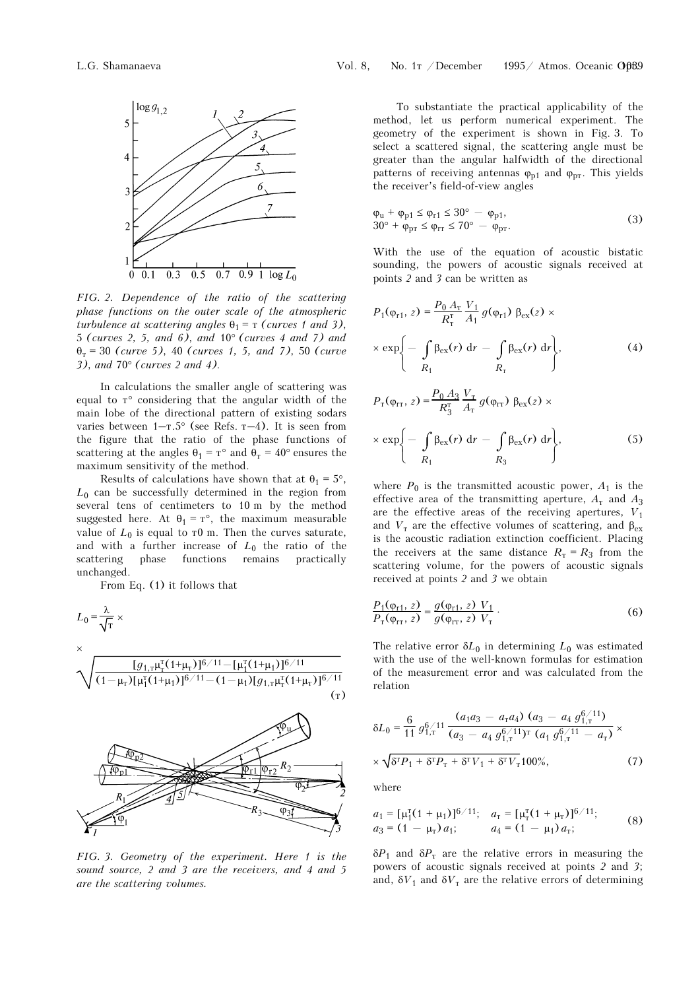

*FIG. 2. Dependence of the ratio of the scattering phase functions on the outer scale of the atmospheric turbulence at scattering angles*  $\theta_1 = \tau$  *(curves 1 and 3)*, 5 *(curves 2, 5, and 6)*, *and* 10° *(curves 4 and 7) and*  θ<sup>2</sup> = 30 *(curve 5)*, 40 *(curves 1, 5, and 7)*, 50 *(curve 3)*, *and* 70° *(curves 2 and 4)*.

In calculations the smaller angle of scattering was equal to  $T^{\circ}$  considering that the angular width of the main lobe of the directional pattern of existing sodars varies between  $1-x.5^{\circ}$  (see Refs.  $x-4$ ). It is seen from the figure that the ratio of the phase functions of scattering at the angles  $\theta_1 = \tau^\circ$  and  $\theta_\tau = 40^\circ$  ensures the maximum sensitivity of the method.

Results of calculations have shown that at  $\theta_1 = 5^\circ$ , *L*0 can be successfully determined in the region from several tens of centimeters to 10 m by the method suggested here. At  $\theta_1 = \tau^{\circ}$ , the maximum measurable value of  $L_0$  is equal to  $\tau$ 0 m. Then the curves saturate, and with a further increase of  $L_0$  the ratio of the scattering phase functions remains practically unchanged.

From Eq. (1) it follows that



*FIG. 3. Geometry of the experiment. Here 1 is the sound source, 2 and 3 are the receivers, and 4 and 5 are the scattering volumes.* 

To substantiate the practical applicability of the method, let us perform numerical experiment. The geometry of the experiment is shown in Fig. 3. To select a scattered signal, the scattering angle must be greater than the angular halfwidth of the directional patterns of receiving antennas  $\varphi_{p1}$  and  $\varphi_{p1}$ . This yields the receiver's field-of-view angles

$$
\varphi_{u} + \varphi_{p1} \le \varphi_{r1} \le 30^{\circ} - \varphi_{p1},
$$
  
\n
$$
30^{\circ} + \varphi_{pr} \le \varphi_{rr} \le 70^{\circ} - \varphi_{pr}.
$$
\n(3)

With the use of the equation of acoustic bistatic sounding, the powers of acoustic signals received at points *2* and *3* can be written as

$$
P_1(\varphi_{r1}, z) = \frac{P_0 A_r}{R_r^T} \frac{V_1}{A_1} g(\varphi_{r1}) \beta_{ex}(z) \times
$$
  
 
$$
\times \exp\left\{-\int_{R_1} \beta_{ex}(r) dr - \int_{R_r} \beta_{ex}(r) dr\right\},
$$
 (4)

$$
P_{\rm T}(\varphi_{\rm TT}, z) = \frac{P_0 A_3}{R_3^{\rm T}} \frac{V_{\rm T}}{A_{\rm T}} g(\varphi_{\rm TT}) \beta_{\rm ex}(z) \times
$$
  
 
$$
\times \exp\left\{-\int_{R_1} \beta_{\rm ex}(r) dr - \int_{R_3} \beta_{\rm ex}(r) dr\right\},
$$
 (5)

where  $P_0$  is the transmitted acoustic power,  $A_1$  is the effective area of the transmitting aperture,  $A<sub>r</sub>$  and  $A<sub>3</sub>$ are the effective areas of the receiving apertures,  $V_1$ and  $V_{\rm T}$  are the effective volumes of scattering, and  $\beta_{\rm ex}$ is the acoustic radiation extinction coefficient. Placing the receivers at the same distance  $R_{\text{T}} = R_3$  from the scattering volume, for the powers of acoustic signals received at points *2* and *3* we obtain

$$
\frac{P_1(\varphi_{r1}, z)}{P_T(\varphi_{rr}, z)} = \frac{g(\varphi_{r1}, z) V_1}{g(\varphi_{rr}, z) V_T}.
$$
\n(6)

The relative error  $\delta L_0$  in determining  $L_0$  was estimated with the use of the well-known formulas for estimation of the measurement error and was calculated from the relation

$$
\delta L_0 = \frac{6}{11} g_{1,\text{T}}^{6/11} \frac{\left(a_1 a_3 - a_\text{T} a_4\right) \left(a_3 - a_4 g_{1,\text{T}}^{6/11}\right)}{\left(a_3 - a_4 g_{1,\text{T}}^{6/11}\right)^{\text{T}} \left(a_1 g_{1,\text{T}}^{6/11} - a_\text{T}\right)} \times \left(\sqrt{8^{\text{T}} P_1 + 8^{\text{T}} P_\text{T} + 8^{\text{T}} V_1 + 8^{\text{T}} V_\text{T}} 100\%,\right)
$$
\n(7)

where

$$
a_1 = [\mu_1^{\text{T}}(1 + \mu_1)]^{6/11}; \quad a_\text{T} = [\mu_\text{T}^{\text{T}}(1 + \mu_\text{T})]^{6/11};
$$
  
\n
$$
a_3 = (1 - \mu_\text{T}) a_1; \qquad a_4 = (1 - \mu_1) a_\text{T};
$$
\n(8)

 $\delta P_1$  and  $\delta P_{\rm T}$  are the relative errors in measuring the powers of acoustic signals received at points *2* and *3*; and,  $\delta V_1$  and  $\delta V_{\rm T}$  are the relative errors of determining